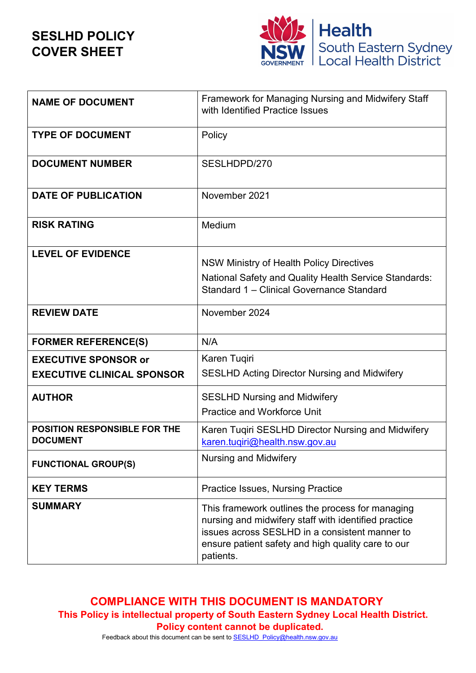**SESLHD POLICY COVER SHEET**



| <b>NAME OF DOCUMENT</b>                                | Framework for Managing Nursing and Midwifery Staff<br>with Identified Practice Issues                                                                                                                                         |
|--------------------------------------------------------|-------------------------------------------------------------------------------------------------------------------------------------------------------------------------------------------------------------------------------|
| <b>TYPE OF DOCUMENT</b>                                | Policy                                                                                                                                                                                                                        |
| <b>DOCUMENT NUMBER</b>                                 | SESLHDPD/270                                                                                                                                                                                                                  |
| <b>DATE OF PUBLICATION</b>                             | November 2021                                                                                                                                                                                                                 |
| <b>RISK RATING</b>                                     | Medium                                                                                                                                                                                                                        |
| <b>LEVEL OF EVIDENCE</b>                               | NSW Ministry of Health Policy Directives<br>National Safety and Quality Health Service Standards:<br>Standard 1 - Clinical Governance Standard                                                                                |
| <b>REVIEW DATE</b>                                     | November 2024                                                                                                                                                                                                                 |
| <b>FORMER REFERENCE(S)</b>                             | N/A                                                                                                                                                                                                                           |
| <b>EXECUTIVE SPONSOR or</b>                            | Karen Tuqiri                                                                                                                                                                                                                  |
| <b>EXECUTIVE CLINICAL SPONSOR</b>                      | <b>SESLHD Acting Director Nursing and Midwifery</b>                                                                                                                                                                           |
| <b>AUTHOR</b>                                          | <b>SESLHD Nursing and Midwifery</b><br><b>Practice and Workforce Unit</b>                                                                                                                                                     |
| <b>POSITION RESPONSIBLE FOR THE</b><br><b>DOCUMENT</b> | Karen Tuqiri SESLHD Director Nursing and Midwifery<br>karen.tugiri@health.nsw.gov.au                                                                                                                                          |
| <b>FUNCTIONAL GROUP(S)</b>                             | <b>Nursing and Midwifery</b>                                                                                                                                                                                                  |
| <b>KEY TERMS</b>                                       | <b>Practice Issues, Nursing Practice</b>                                                                                                                                                                                      |
| <b>SUMMARY</b>                                         | This framework outlines the process for managing<br>nursing and midwifery staff with identified practice<br>issues across SESLHD in a consistent manner to<br>ensure patient safety and high quality care to our<br>patients. |

**COMPLIANCE WITH THIS DOCUMENT IS MANDATORY This Policy is intellectual property of South Eastern Sydney Local Health District. Policy content cannot be duplicated.** 

Feedback about this document can be sent to SESLHD\_Policy@health.nsw.gov.au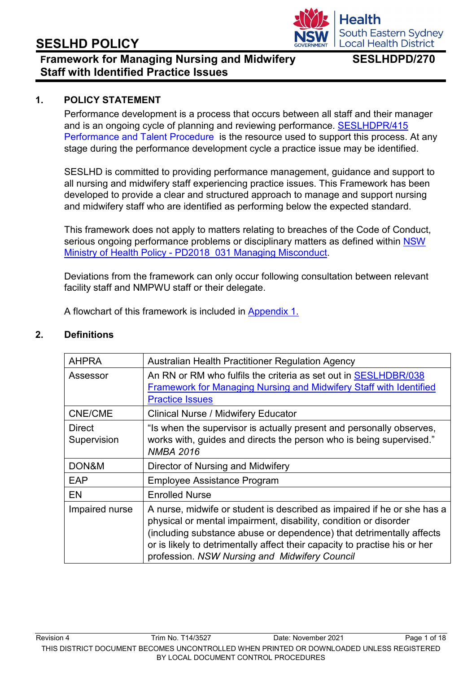## **Framework for Managing Nursing and Midwifery SESLHDPD/270 Staff with Identified Practice Issues**

#### **1. POLICY STATEMENT**

Performance development is a process that occurs between all staff and their manager and is an ongoing cycle of planning and reviewing performance. [SESLHDPR/415](https://www.seslhd.health.nsw.gov.au/policies-and-publications/functional-group/100) Performance and Talent Procedure [i](https://www.seslhd.health.nsw.gov.au/policies-and-publications/functional-group/100)s the resource used to support this process. At any stage during the performance development cycle a practice issue may be identified.

SESLHD is committed to providing performance management, guidance and support to all nursing and midwifery staff experiencing practice issues. This Framework has been developed to provide a clear and structured approach to manage and support nursing and midwifery staff who are identified as performing below the expected standard.

This framework does not apply to matters relating to breaches of the Code of Conduct, serious ongoing performance problems or disciplinary matters as defined within [NSW](https://www1.health.nsw.gov.au/pds/Pages/doc.aspx?dn=PD2018_031) Ministry of Health Policy - [PD2018\\_031 Managing Misconduct.](https://www1.health.nsw.gov.au/pds/Pages/doc.aspx?dn=PD2018_031)

Deviations from the framework can only occur following consultation between relevant facility staff and NMPWU staff or their delegate.

A flowchart of this framework is included in [Appendix 1.](#page-17-0)

#### **2. Definitions**

| <b>AHPRA</b>                 | Australian Health Practitioner Regulation Agency                                                                                                                                                                                                                                                                                                   |
|------------------------------|----------------------------------------------------------------------------------------------------------------------------------------------------------------------------------------------------------------------------------------------------------------------------------------------------------------------------------------------------|
| Assessor                     | An RN or RM who fulfils the criteria as set out in SESLHDBR/038<br>Framework for Managing Nursing and Midwifery Staff with Identified<br><b>Practice Issues</b>                                                                                                                                                                                    |
| <b>CNE/CME</b>               | <b>Clinical Nurse / Midwifery Educator</b>                                                                                                                                                                                                                                                                                                         |
| <b>Direct</b><br>Supervision | "Is when the supervisor is actually present and personally observes,<br>works with, guides and directs the person who is being supervised."<br><b>NMBA 2016</b>                                                                                                                                                                                    |
| DON&M                        | Director of Nursing and Midwifery                                                                                                                                                                                                                                                                                                                  |
| EAP                          | <b>Employee Assistance Program</b>                                                                                                                                                                                                                                                                                                                 |
| <b>EN</b>                    | <b>Enrolled Nurse</b>                                                                                                                                                                                                                                                                                                                              |
| Impaired nurse               | A nurse, midwife or student is described as impaired if he or she has a<br>physical or mental impairment, disability, condition or disorder<br>(including substance abuse or dependence) that detrimentally affects<br>or is likely to detrimentally affect their capacity to practise his or her<br>profession. NSW Nursing and Midwifery Council |

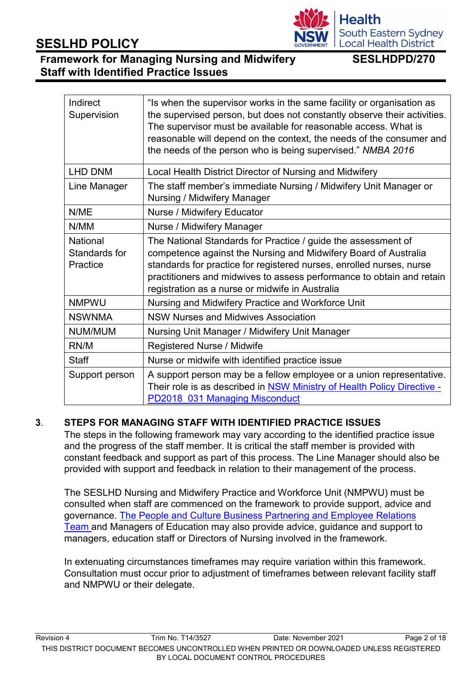#### Revision 4 Trim No. T14/3527 Date: November 2021 Page 2 of 18 THIS DISTRICT DOCUMENT BECOMES UNCONTROLLED WHEN PRINTED OR DOWNLOADED UNLESS REGISTERED BY LOCAL DOCUMENT CONTROL PROCEDURES

# **SESLHD POLICY**

Indirect  $\sim$ 

# **Framework for Managing Nursing and Midwifery SESLHDPD/270 Staff with Identified Practice Issues**

| Supervision                                  | the supervised person, but does not constantly observe their activities.<br>The supervisor must be available for reasonable access. What is<br>reasonable will depend on the context, the needs of the consumer and<br>the needs of the person who is being supervised." NMBA 2016                                                   |
|----------------------------------------------|--------------------------------------------------------------------------------------------------------------------------------------------------------------------------------------------------------------------------------------------------------------------------------------------------------------------------------------|
| <b>LHD DNM</b>                               | Local Health District Director of Nursing and Midwifery                                                                                                                                                                                                                                                                              |
| Line Manager                                 | The staff member's immediate Nursing / Midwifery Unit Manager or<br>Nursing / Midwifery Manager                                                                                                                                                                                                                                      |
| N/ME                                         | Nurse / Midwifery Educator                                                                                                                                                                                                                                                                                                           |
| N/MM                                         | Nurse / Midwifery Manager                                                                                                                                                                                                                                                                                                            |
| <b>National</b><br>Standards for<br>Practice | The National Standards for Practice / guide the assessment of<br>competence against the Nursing and Midwifery Board of Australia<br>standards for practice for registered nurses, enrolled nurses, nurse<br>practitioners and midwives to assess performance to obtain and retain<br>registration as a nurse or midwife in Australia |
| <b>NMPWU</b>                                 | Nursing and Midwifery Practice and Workforce Unit                                                                                                                                                                                                                                                                                    |
| <b>NSWNMA</b>                                | <b>NSW Nurses and Midwives Association</b>                                                                                                                                                                                                                                                                                           |

### **3**. **STEPS FOR MANAGING STAFF WITH IDENTIFIED PRACTICE ISSUES**

[PD2018\\_031 Managing Misconduct](https://www1.health.nsw.gov.au/pds/Pages/doc.aspx?dn=PD2018_031)

NUM/MUM Nursing Unit Manager / Midwifery Unit Manager

Staff Staff Nurse or midwife with identified practice issue

RN/M Registered Nurse / Midwife

The steps in the following framework may vary according to the identified practice issue and the progress of the staff member. It is critical the staff member is provided with constant feedback and support as part of this process. The Line Manager should also be provided with support and feedback in relation to their management of the process.

Support person  $\vert A$  support person may be a fellow employee or a union representative.

Their role is as described in [NSW Ministry of Health Policy](https://www1.health.nsw.gov.au/pds/Pages/doc.aspx?dn=PD2018_031) Directive [-](https://www1.health.nsw.gov.au/pds/Pages/doc.aspx?dn=PD2018_031)

The SESLHD Nursing and Midwifery Practice and Workforce Unit (NMPWU) must be consulted when staff are commenced on the framework to provide support, advice and governance. [The People and Culture Business Partnering and Employee Relations](http://seslhdweb.seslhd.health.nsw.gov.au/People_and_Culture/People_and_Culture_Directory/contacts_was.asp)  [Team a](http://seslhdweb.seslhd.health.nsw.gov.au/People_and_Culture/People_and_Culture_Directory/contacts_was.asp)nd Managers of Education may also provide advice, guidance and support to managers, education staff or Directors of Nursing involved in the framework.

In extenuating circumstances timeframes may require variation within this framework. Consultation must occur prior to adjustment of timeframes between relevant facility staff and NMPWU or their delegate.

"Is when the supervisor works in the same facility or organisation as

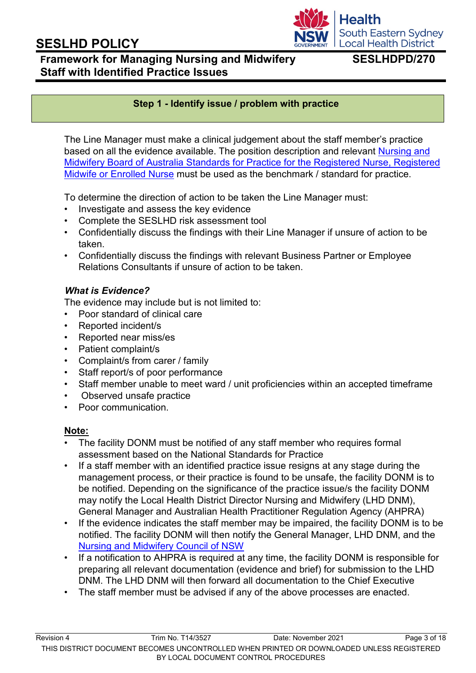# **Framework for Managing Nursing and Midwifery SESLHDPD/270 Staff with Identified Practice Issues**

**South Eastern Sydney Local Health District** 

**Health** 

### **Step 1 - Identify issue / problem with practice**

The Line Manager must make a clinical judgement about the staff member's practice based on all the evidence available. The position description and relevant [Nursing and](http://www.nursingmidwiferyboard.gov.au/Codes-Guidelines-Statements/Professional-standards.aspx) [Midwifery Board of Australia Standards for Practice for the Registered Nurse, Registered](http://www.nursingmidwiferyboard.gov.au/Codes-Guidelines-Statements/Professional-standards.aspx) [Midwife or Enrolled Nurse](http://www.nursingmidwiferyboard.gov.au/Codes-Guidelines-Statements/Professional-standards.aspx) must be used as the benchmark / standard for practice.

To determine the direction of action to be taken the Line Manager must:

- Investigate and assess the key evidence
- Complete the SESLHD risk assessment tool
- Confidentially discuss the findings with their Line Manager if unsure of action to be taken.
- Confidentially discuss the findings with relevant Business Partner or Employee Relations Consultants if unsure of action to be taken.

### *What is Evidence?*

The evidence may include but is not limited to:

- Poor standard of clinical care
- Reported incident/s
- Reported near miss/es
- Patient complaint/s
- Complaint/s from carer / family
- Staff report/s of poor performance
- Staff member unable to meet ward / unit proficiencies within an accepted timeframe
- Observed unsafe practice
- Poor communication.

#### **Note:**

- The facility DONM must be notified of any staff member who requires formal assessment based on the National Standards for Practice
- If a staff member with an identified practice issue resigns at any stage during the management process, or their practice is found to be unsafe, the facility DONM is to be notified. Depending on the significance of the practice issue/s the facility DONM may notify the Local Health District Director Nursing and Midwifery (LHD DNM), General Manager and Australian Health Practitioner Regulation Agency (AHPRA)
- If the evidence indicates the staff member may be impaired, the facility DONM is to be notified. The facility DONM will then notify the General Manager, LHD DNM, and the [Nursing and Midwifery Council of NSW](https://www.nursingandmidwiferycouncil.nsw.gov.au/)
- If a notification to AHPRA is required at any time, the facility DONM is responsible for preparing all relevant documentation (evidence and brief) for submission to the LHD DNM. The LHD DNM will then forward all documentation to the Chief Executive
- The staff member must be advised if any of the above processes are enacted.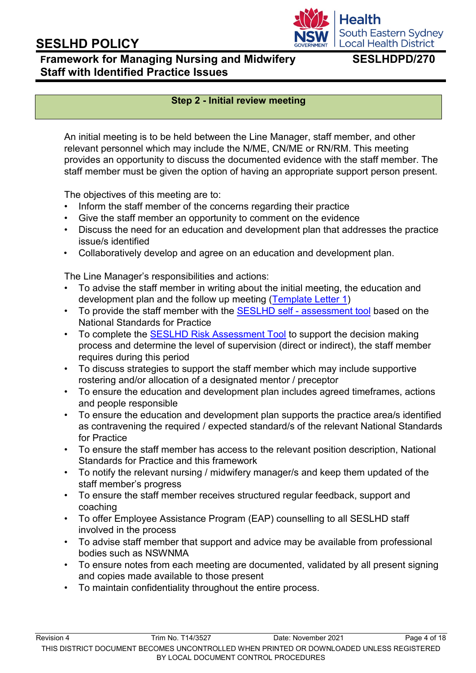## **Local Health District Framework for Managing Nursing and Midwifery SESLHDPD/270 Staff with Identified Practice Issues**

South Eastern Sydney

**Health** 

### **Step 2 - Initial review meeting**

An initial meeting is to be held between the Line Manager, staff member, and other relevant personnel which may include the N/ME, CN/ME or RN/RM. This meeting provides an opportunity to discuss the documented evidence with the staff member. The staff member must be given the option of having an appropriate support person present.

The objectives of this meeting are to:

- Inform the staff member of the concerns regarding their practice
- Give the staff member an opportunity to comment on the evidence
- Discuss the need for an education and development plan that addresses the practice issue/s identified
- Collaboratively develop and agree on an education and development plan.

The Line Manager's responsibilities and actions:

- To advise the staff member in writing about the initial meeting, the education and development plan and the follow up meeting [\(Template Letter 1\)](http://seslhnweb/Forms_and_Templates/Templates/NM.asp)
- To provide the staff member with the SESLHD self [assessment tool](http://seslhnweb/Forms_and_Templates/Forms/default.asp) based on the National Standards for Practice
- To complete the [SESLHD Risk Assessment Tool](http://seslhdweb.seslhd.health.nsw.gov.au/Forms_and_Templates/Forms/default.asp#Nursing_and_Midwifery) to support the decision making process and determine the level of supervision (direct or indirect), the staff member requires during this period
- To discuss strategies to support the staff member which may include supportive rostering and/or allocation of a designated mentor / preceptor
- To ensure the education and development plan includes agreed timeframes, actions and people responsible
- To ensure the education and development plan supports the practice area/s identified as contravening the required / expected standard/s of the relevant National Standards for Practice
- To ensure the staff member has access to the relevant position description, National Standards for Practice and this framework
- To notify the relevant nursing / midwifery manager/s and keep them updated of the staff member's progress
- To ensure the staff member receives structured regular feedback, support and coaching
- To offer Employee Assistance Program (EAP) counselling to all SESLHD staff involved in the process
- To advise staff member that support and advice may be available from professional bodies such as NSWNMA
- To ensure notes from each meeting are documented, validated by all present signing and copies made available to those present
- To maintain confidentiality throughout the entire process.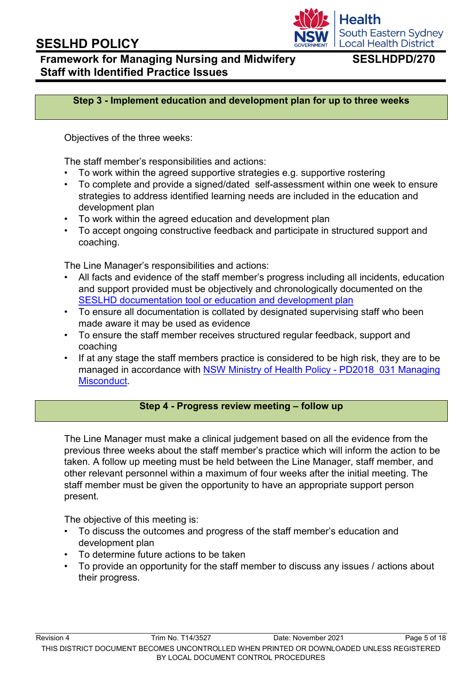

## **Framework for Managing Nursing and Midwifery SESLHDPD/270 Staff with Identified Practice Issues**

**Step 3 - Implement education and development plan for up to three weeks**

Objectives of the three weeks:

The staff member's responsibilities and actions:

- To work within the agreed supportive strategies e.g. supportive rostering
- To complete and provide a signed/dated self-assessment within one week to ensure strategies to address identified learning needs are included in the education and development plan
- To work within the agreed education and development plan
- To accept ongoing constructive feedback and participate in structured support and coaching.

The Line Manager's responsibilities and actions:

- All facts and evidence of the staff member's progress including all incidents, education and support provided must be objectively and chronologically documented on the [SESLHD documentation tool or education and development plan](http://seslhnweb/Forms_and_Templates/Forms/default.asp)
- To ensure all documentation is collated by designated supervising staff who been made aware it may be used as evidence
- To ensure the staff member receives structured regular feedback, support and coaching
- If at any stage the staff members practice is considered to be high risk, they are to be managed in accordance with [NSW Ministry of Health Policy -](https://www1.health.nsw.gov.au/pds/Pages/doc.aspx?dn=PD2018_031) PD2018 031 Mana[g](https://www1.health.nsw.gov.au/pds/Pages/doc.aspx?dn=PD2018_031)ing [Misconduct.](https://www1.health.nsw.gov.au/pds/Pages/doc.aspx?dn=PD2018_031)

#### **Step 4 - Progress review meeting – follow up**

The Line Manager must make a clinical judgement based on all the evidence from the previous three weeks about the staff member's practice which will inform the action to be taken. A follow up meeting must be held between the Line Manager, staff member, and other relevant personnel within a maximum of four weeks after the initial meeting. The staff member must be given the opportunity to have an appropriate support person present.

The objective of this meeting is:

- To discuss the outcomes and progress of the staff member's education and development plan
- To determine future actions to be taken
- To provide an opportunity for the staff member to discuss any issues / actions about their progress.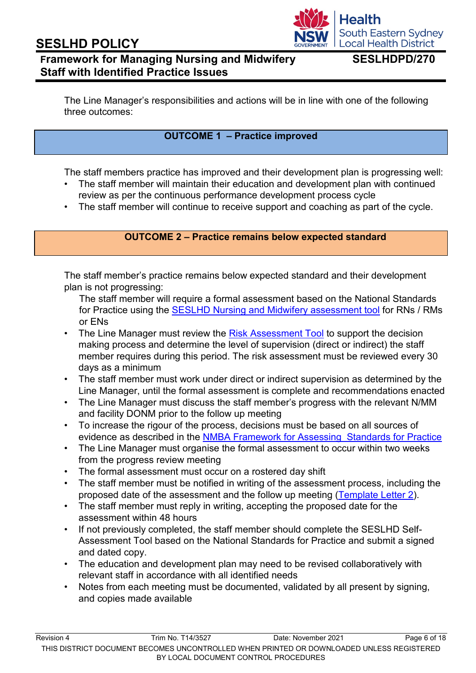## **Framework for Managing Nursing and Midwifery SESLHDPD/270 Staff with Identified Practice Issues**

**South Eastern Sydney Local Health District** 

**Health** 

The Line Manager's responsibilities and actions will be in line with one of the following three outcomes:

### **OUTCOME 1 – Practice improved**

The staff members practice has improved and their development plan is progressing well:

- The staff member will maintain their education and development plan with continued review as per the continuous performance development process cycle
- The staff member will continue to receive support and coaching as part of the cycle.

#### **OUTCOME 2 – Practice remains below expected standard**

The staff member's practice remains below expected standard and their development plan is not progressing:

The staff member will require a formal assessment based on the National Standards for Practice using the [SESLHD Nursing and Midwifery assessment tool](http://seslhnweb/Forms_and_Templates/Forms/default.asp) [f](http://seslhnweb/Forms_and_Templates/Forms/default.asp)or RNs / RMs or ENs

- The Line Manager must review the [Risk Assessment Tool](http://seslhnweb/Forms_and_Templates/Forms/default.asp) [t](http://seslhnweb/Forms_and_Templates/Forms/default.asp)o support the decision making process and determine the level of supervision (direct or indirect) the staff member requires during this period. The risk assessment must be reviewed every 30 days as a minimum
- The staff member must work under direct or indirect supervision as determined by the Line Manager, until the formal assessment is complete and recommendations enacted
- The Line Manager must discuss the staff member's progress with the relevant N/MM and facility DONM prior to the follow up meeting
- To increase the rigour of the process, decisions must be based on all sources of evidence as described in th[e](http://www.nursingmidwiferyboard.gov.au/Codes-Guidelines-Statements/Codes-Guidelines/Framework-for-assessing-national-competency-standards.aspx) [NMBA Framework for Assessing Standards for Practice](http://www.nursingmidwiferyboard.gov.au/Codes-Guidelines-Statements/Codes-Guidelines/Framework-for-assessing-national-competency-standards.aspx)
- The Line Manager must organise the formal assessment to occur within two weeks from the progress review meeting
- The formal assessment must occur on a rostered day shift
- The staff member must be notified in writing of the assessment process, including the proposed date of the assessment and the follow up meeting [\(Template Letter 2\).](http://seslhnweb/Forms_and_Templates/Templates/NM.asp)
- The staff member must reply in writing, accepting the proposed date for the assessment within 48 hours
- If not previously completed, the staff member should complete the SESLHD Self-Assessment Tool based on the National Standards for Practice and submit a signed and dated copy.
- The education and development plan may need to be revised collaboratively with relevant staff in accordance with all identified needs
- Notes from each meeting must be documented, validated by all present by signing, and copies made available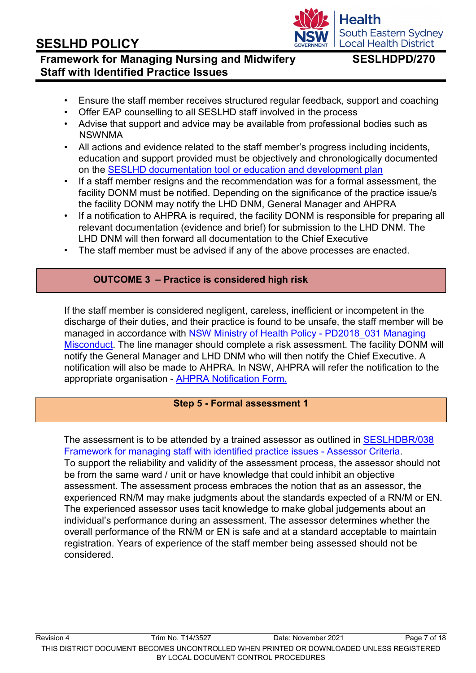#### Revision 4 Trim No. T14/3527 Date: November 2021 Page 7 of 18 THIS DISTRICT DOCUMENT BECOMES UNCONTROLLED WHEN PRINTED OR DOWNLOADED UNLESS REGISTERED BY LOCAL DOCUMENT CONTROL PROCEDURES

# **SESLHD POLICY**

## **Framework for Managing Nursing and Midwifery SESLHDPD/270 Staff with Identified Practice Issues**

- Ensure the staff member receives structured regular feedback, support and coaching
- Offer EAP counselling to all SESLHD staff involved in the process
- Advise that support and advice may be available from professional bodies such as NSWNMA
- All actions and evidence related to the staff member's progress including incidents, education and support provided must be objectively and chronologically documented on the [SESLHD documentation tool or education and development plan](http://seslhnweb/Forms_and_Templates/Forms/default.asp)
- If a staff member resigns and the recommendation was for a formal assessment, the facility DONM must be notified. Depending on the significance of the practice issue/s the facility DONM may notify the LHD DNM, General Manager and AHPRA
- If a notification to AHPRA is required, the facility DONM is responsible for preparing all relevant documentation (evidence and brief) for submission to the LHD DNM. The LHD DNM will then forward all documentation to the Chief Executive
- The staff member must be advised if any of the above processes are enacted.

### **OUTCOME 3 – Practice is considered high risk**

If the staff member is considered negligent, careless, inefficient or incompetent in the discharge of their duties, and their practice is found to be unsafe, the staff member will be managed in accordance with [NSW Ministry of Health Policy -](https://www1.health.nsw.gov.au/pds/Pages/doc.aspx?dn=PD2018_031) PD2018 031 Mana[g](https://www1.health.nsw.gov.au/pds/Pages/doc.aspx?dn=PD2018_031)ing [Misconduct.](https://www1.health.nsw.gov.au/pds/Pages/doc.aspx?dn=PD2018_031) The line manager should complete a risk assessment. The facility DONM will notify the General Manager and LHD DNM who will then notify the Chief Executive. A notification will also be made to AHPRA. In NSW, AHPRA will refer the notification to the appropriate organisation - [AHPRA Notification Form](https://www.ahpra.gov.au/Notifications/Make-a-Notification.aspx)*[.](https://www.ahpra.gov.au/Notifications/Make-a-Notification.aspx)*

### **Step 5 - Formal assessment 1**

The assessment is to be attended by a trained assessor as outlined in [SESLHDBR/038](https://www.seslhd.health.nsw.gov.au/policies-and-publications/functional-group/90) [Framework for managing staff with identified practice issues -](https://www.seslhd.health.nsw.gov.au/policies-and-publications/functional-group/90) Assessor Criteri[a.](https://www.seslhd.health.nsw.gov.au/policies-and-publications/functional-group/90) To support the reliability and validity of the assessment process, the assessor should not be from the same ward / unit or have knowledge that could inhibit an objective assessment. The assessment process embraces the notion that as an assessor, the experienced RN/M may make judgments about the standards expected of a RN/M or EN. The experienced assessor uses tacit knowledge to make global judgements about an individual's performance during an assessment. The assessor determines whether the overall performance of the RN/M or EN is safe and at a standard acceptable to maintain registration. Years of experience of the staff member being assessed should not be considered.

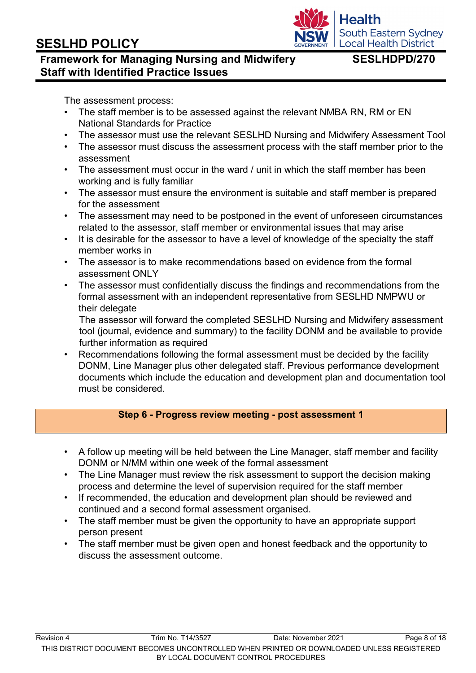

## **Framework for Managing Nursing and Midwifery SESLHDPD/270 Staff with Identified Practice Issues**

The assessment process:

- The staff member is to be assessed against the relevant NMBA RN, RM or EN National Standards for Practice
- The assessor must use the relevant SESLHD Nursing and Midwifery Assessment Tool
- The assessor must discuss the assessment process with the staff member prior to the assessment
- The assessment must occur in the ward / unit in which the staff member has been working and is fully familiar
- The assessor must ensure the environment is suitable and staff member is prepared for the assessment
- The assessment may need to be postponed in the event of unforeseen circumstances related to the assessor, staff member or environmental issues that may arise
- It is desirable for the assessor to have a level of knowledge of the specialty the staff member works in
- The assessor is to make recommendations based on evidence from the formal assessment ONLY
- The assessor must confidentially discuss the findings and recommendations from the formal assessment with an independent representative from SESLHD NMPWU or their delegate

The assessor will forward the completed SESLHD Nursing and Midwifery assessment tool (journal, evidence and summary) to the facility DONM and be available to provide further information as required

• Recommendations following the formal assessment must be decided by the facility DONM, Line Manager plus other delegated staff. Previous performance development documents which include the education and development plan and documentation tool must be considered.

### **Step 6 - Progress review meeting - post assessment 1**

- A follow up meeting will be held between the Line Manager, staff member and facility DONM or N/MM within one week of the formal assessment
- The Line Manager must review the risk assessment to support the decision making process and determine the level of supervision required for the staff member
- If recommended, the education and development plan should be reviewed and continued and a second formal assessment organised.
- The staff member must be given the opportunity to have an appropriate support person present
- The staff member must be given open and honest feedback and the opportunity to discuss the assessment outcome.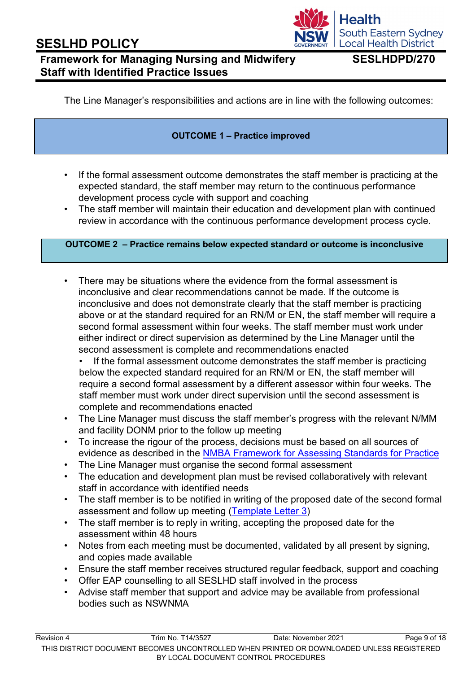# **Framework for Managing Nursing and Midwifery SESLHDPD/270 Staff with Identified Practice Issues**

South Eastern Sydney **Local Health District** 

**Health** 

The Line Manager's responsibilities and actions are in line with the following outcomes:

#### **OUTCOME 1 – Practice improved**

- If the formal assessment outcome demonstrates the staff member is practicing at the expected standard, the staff member may return to the continuous performance development process cycle with support and coaching
- The staff member will maintain their education and development plan with continued review in accordance with the continuous performance development process cycle.

#### **OUTCOME 2 – Practice remains below expected standard or outcome is inconclusive**

• There may be situations where the evidence from the formal assessment is inconclusive and clear recommendations cannot be made. If the outcome is inconclusive and does not demonstrate clearly that the staff member is practicing above or at the standard required for an RN/M or EN, the staff member will require a second formal assessment within four weeks. The staff member must work under either indirect or direct supervision as determined by the Line Manager until the second assessment is complete and recommendations enacted

If the formal assessment outcome demonstrates the staff member is practicing below the expected standard required for an RN/M or EN, the staff member will require a second formal assessment by a different assessor within four weeks. The staff member must work under direct supervision until the second assessment is complete and recommendations enacted

- The Line Manager must discuss the staff member's progress with the relevant N/MM and facility DONM prior to the follow up meeting
- To increase the rigour of the process, decisions must be based on all sources of evidence as described in the [NMBA Framework for Assessing Standards for Practice](http://www.nursingmidwiferyboard.gov.au/Codes-Guidelines-Statements/Codes-Guidelines/Framework-for-assessing-national-competency-standards.aspx)
- The Line Manager must organise the second formal assessment
- The education and development plan must be revised collaboratively with relevant staff in accordance with identified needs
- The staff member is to be notified in writing of the proposed date of the second formal assessment and follow up meeting [\(Template Letter 3\)](http://seslhnweb/Forms_and_Templates/Templates/NM.asp)
- The staff member is to reply in writing, accepting the proposed date for the assessment within 48 hours
- Notes from each meeting must be documented, validated by all present by signing, and copies made available
- Ensure the staff member receives structured regular feedback, support and coaching
- Offer EAP counselling to all SESLHD staff involved in the process
- Advise staff member that support and advice may be available from professional bodies such as NSWNMA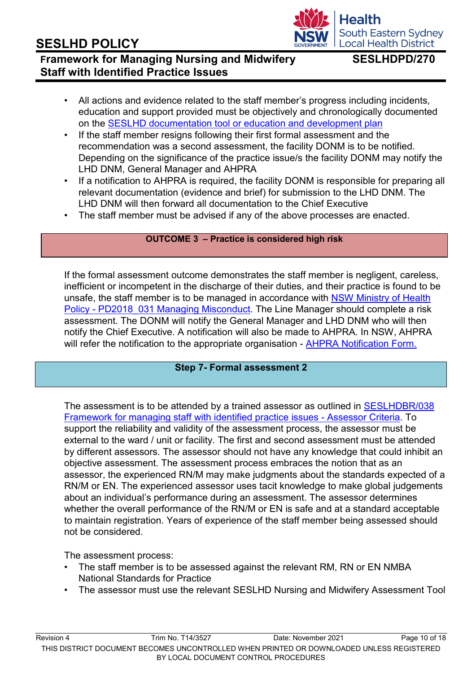#### Revision 4 Trim No. T14/3527 Date: November 2021 Page 10 of 18 THIS DISTRICT DOCUMENT BECOMES UNCONTROLLED WHEN PRINTED OR DOWNLOADED UNLESS REGISTERED BY LOCAL DOCUMENT CONTROL PROCEDURES

# **SESLHD POLICY**

## **Framework for Managing Nursing and Midwifery SESLHDPD/270 Staff with Identified Practice Issues**

- All actions and evidence related to the staff member's progress including incidents, education and support provided must be objectively and chronologically documented on the [SESLHD documentation tool or education and development plan](http://seslhdweb.seslhd.health.nsw.gov.au/Forms_and_Templates/Forms/default.asp#Nursing_and_Midwifery)
- If the staff member resigns following their first formal assessment and the recommendation was a second assessment, the facility DONM is to be notified. Depending on the significance of the practice issue/s the facility DONM may notify the LHD DNM, General Manager and AHPRA
- If a notification to AHPRA is required, the facility DONM is responsible for preparing all relevant documentation (evidence and brief) for submission to the LHD DNM. The LHD DNM will then forward all documentation to the Chief Executive
- The staff member must be advised if any of the above processes are enacted.

### **OUTCOME 3 – Practice is considered high risk**

If the formal assessment outcome demonstrates the staff member is negligent, careless, inefficient or incompetent in the discharge of their duties, and their practice is found to be unsafe, the staff member is to be managed in accordance with [NSW Ministry of Health](https://www1.health.nsw.gov.au/pds/Pages/doc.aspx?dn=PD2018_031) Policy - [PD2018\\_031 Managing Misconduct](https://www1.health.nsw.gov.au/pds/Pages/doc.aspx?dn=PD2018_031)*[.](https://www1.health.nsw.gov.au/pds/Pages/doc.aspx?dn=PD2018_031)* The Line Manager should complete a risk assessment. The DONM will notify the General Manager and LHD DNM who will then notify the Chief Executive. A notification will also be made to AHPRA. In NSW, AHPRA will refer the notification to the appropriate organisation - [AHPRA Notification Form.](https://www.ahpra.gov.au/notifications/make-a-complaint.aspx)

### **Step 7- Formal assessment 2**

The assessment is to be attended by a trained assessor as outlined in [SESLHDBR/038](https://www.seslhd.health.nsw.gov.au/policies-and-publications/functional-group/90) [Framework for managing staff with identified practice issues -](https://www.seslhd.health.nsw.gov.au/policies-and-publications/functional-group/90) Assessor Criteri[a.](https://www.seslhd.health.nsw.gov.au/policies-and-publications/functional-group/90) To support the reliability and validity of the assessment process, the assessor must be external to the ward / unit or facility. The first and second assessment must be attended by different assessors. The assessor should not have any knowledge that could inhibit an objective assessment. The assessment process embraces the notion that as an assessor, the experienced RN/M may make judgments about the standards expected of a RN/M or EN. The experienced assessor uses tacit knowledge to make global judgements about an individual's performance during an assessment. The assessor determines whether the overall performance of the RN/M or EN is safe and at a standard acceptable to maintain registration. Years of experience of the staff member being assessed should not be considered.

The assessment process:

- The staff member is to be assessed against the relevant RM, RN or EN NMBA National Standards for Practice
- The assessor must use the relevant SESLHD Nursing and Midwifery Assessment Tool

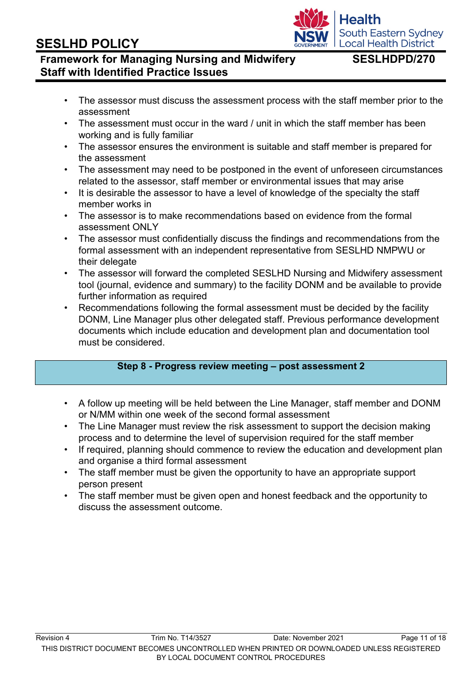### Revision 4 Trim No. T14/3527 Date: November 2021 Page 11 of 18 THIS DISTRICT DOCUMENT BECOMES UNCONTROLLED WHEN PRINTED OR DOWNLOADED UNLESS REGISTERED BY LOCAL DOCUMENT CONTROL PROCEDURES

# **SESLHD POLICY**

# **Framework for Managing Nursing and Midwifery SESLHDPD/270 Staff with Identified Practice Issues**

- The assessor must discuss the assessment process with the staff member prior to the assessment
- The assessment must occur in the ward / unit in which the staff member has been working and is fully familiar
- The assessor ensures the environment is suitable and staff member is prepared for the assessment
- The assessment may need to be postponed in the event of unforeseen circumstances related to the assessor, staff member or environmental issues that may arise
- It is desirable the assessor to have a level of knowledge of the specialty the staff member works in
- The assessor is to make recommendations based on evidence from the formal assessment ONLY
- The assessor must confidentially discuss the findings and recommendations from the formal assessment with an independent representative from SESLHD NMPWU or their delegate
- The assessor will forward the completed SESLHD Nursing and Midwifery assessment tool (journal, evidence and summary) to the facility DONM and be available to provide further information as required
- Recommendations following the formal assessment must be decided by the facility DONM, Line Manager plus other delegated staff. Previous performance development documents which include education and development plan and documentation tool must be considered.

### **Step 8 - Progress review meeting – post assessment 2**

- A follow up meeting will be held between the Line Manager, staff member and DONM or N/MM within one week of the second formal assessment
- The Line Manager must review the risk assessment to support the decision making process and to determine the level of supervision required for the staff member
- If required, planning should commence to review the education and development plan and organise a third formal assessment
- The staff member must be given the opportunity to have an appropriate support person present
- The staff member must be given open and honest feedback and the opportunity to discuss the assessment outcome.

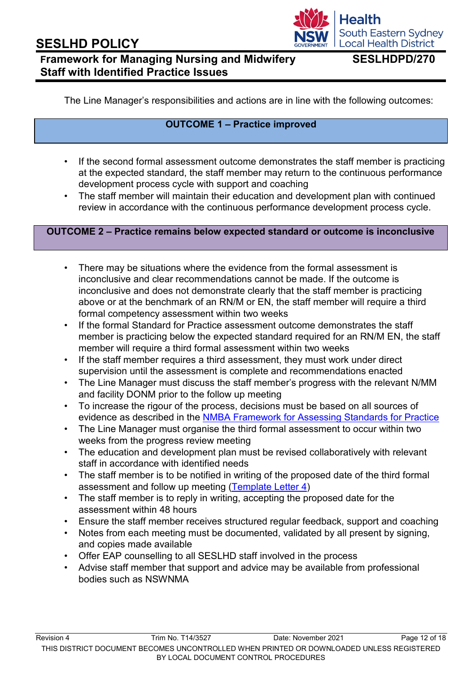# **Framework for Managing Nursing and Midwifery SESLHDPD/270 Staff with Identified Practice Issues**

**South Eastern Sydney Local Health District** 

**Health** 

The Line Manager's responsibilities and actions are in line with the following outcomes:

### **OUTCOME 1 – Practice improved**

- If the second formal assessment outcome demonstrates the staff member is practicing at the expected standard, the staff member may return to the continuous performance development process cycle with support and coaching
- The staff member will maintain their education and development plan with continued review in accordance with the continuous performance development process cycle.

#### **OUTCOME 2 – Practice remains below expected standard or outcome is inconclusive**

- There may be situations where the evidence from the formal assessment is inconclusive and clear recommendations cannot be made. If the outcome is inconclusive and does not demonstrate clearly that the staff member is practicing above or at the benchmark of an RN/M or EN, the staff member will require a third formal competency assessment within two weeks
- If the formal Standard for Practice assessment outcome demonstrates the staff member is practicing below the expected standard required for an RN/M EN, the staff member will require a third formal assessment within two weeks
- If the staff member requires a third assessment, they must work under direct supervision until the assessment is complete and recommendations enacted
- The Line Manager must discuss the staff member's progress with the relevant N/MM and facility DONM prior to the follow up meeting
- To increase the rigour of the process, decisions must be based on all sources of evidence as described in the [NMBA Framework for Assessing Standards for Practice](http://www.nursingmidwiferyboard.gov.au/Codes-Guidelines-Statements/Codes-Guidelines/Framework-for-assessing-national-competency-standards.aspx)
- The Line Manager must organise the third formal assessment to occur within two weeks from the progress review meeting
- The education and development plan must be revised collaboratively with relevant staff in accordance with identified needs
- The staff member is to be notified in writing of the proposed date of the third formal assessment and follow up meeting [\(Template Letter 4\)](http://seslhnweb/Forms_and_Templates/Templates/NM.asp)
- The staff member is to reply in writing, accepting the proposed date for the assessment within 48 hours
- Ensure the staff member receives structured regular feedback, support and coaching
- Notes from each meeting must be documented, validated by all present by signing, and copies made available
- Offer EAP counselling to all SESLHD staff involved in the process
- Advise staff member that support and advice may be available from professional bodies such as NSWNMA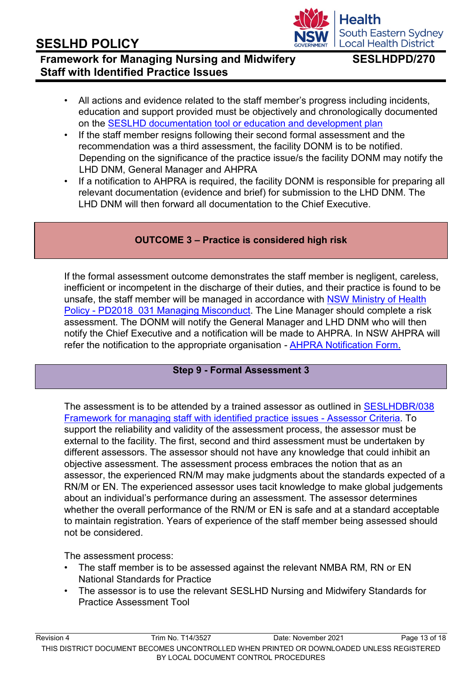#### Revision 4 Trim No. T14/3527 Date: November 2021 Page 13 of 18 THIS DISTRICT DOCUMENT BECOMES UNCONTROLLED WHEN PRINTED OR DOWNLOADED UNLESS REGISTERED BY LOCAL DOCUMENT CONTROL PROCEDURES

# **SESLHD POLICY**

## **Framework for Managing Nursing and Midwifery SESLHDPD/270 Staff with Identified Practice Issues**

- All actions and evidence related to the staff member's progress including incidents, education and support provided must be objectively and chronologically documented on the [SESLHD documentation tool or education and development plan](http://seslhnweb/Forms_and_Templates/Forms/default.asp)
- If the staff member resigns following their second formal assessment and the recommendation was a third assessment, the facility DONM is to be notified. Depending on the significance of the practice issue/s the facility DONM may notify the LHD DNM, General Manager and AHPRA
- If a notification to AHPRA is required, the facility DONM is responsible for preparing all relevant documentation (evidence and brief) for submission to the LHD DNM. The LHD DNM will then forward all documentation to the Chief Executive.

## **OUTCOME 3 – Practice is considered high risk**

If the formal assessment outcome demonstrates the staff member is negligent, careless, inefficient or incompetent in the discharge of their duties, and their practice is found to be unsafe, the staff member will be managed in accordance with [NSW Ministry of Health](https://www1.health.nsw.gov.au/pds/Pages/doc.aspx?dn=PD2018_031) Policy - PD2018 031 Managing Misconduct. The Line Manager should complete a risk assessment. The DONM will notify the General Manager and LHD DNM who will then notify the Chief Executive and a notification will be made to AHPRA. In NSW AHPRA will refer the notification to the appropriate organisation *-* [AHPRA Notification Form.](https://www.ahpra.gov.au/Notifications/Make-a-Notification.aspx)

## **Step 9 - Formal Assessment 3**

The assessment is to be attended by a trained assessor as outlined in [SESLHDBR/038](https://www.seslhd.health.nsw.gov.au/policies-and-publications/functional-group/90) [Framework for managing staff with identified practice issues -](https://www.seslhd.health.nsw.gov.au/policies-and-publications/functional-group/90) Assessor Criteri[a.](https://www.seslhd.health.nsw.gov.au/policies-and-publications/functional-group/90) To support the reliability and validity of the assessment process, the assessor must be external to the facility. The first, second and third assessment must be undertaken by different assessors. The assessor should not have any knowledge that could inhibit an objective assessment. The assessment process embraces the notion that as an assessor, the experienced RN/M may make judgments about the standards expected of a RN/M or EN. The experienced assessor uses tacit knowledge to make global judgements about an individual's performance during an assessment. The assessor determines whether the overall performance of the RN/M or EN is safe and at a standard acceptable to maintain registration. Years of experience of the staff member being assessed should not be considered.

The assessment process:

- The staff member is to be assessed against the relevant NMBA RM, RN or EN National Standards for Practice
- The assessor is to use the relevant SESLHD Nursing and Midwifery Standards for Practice Assessment Tool

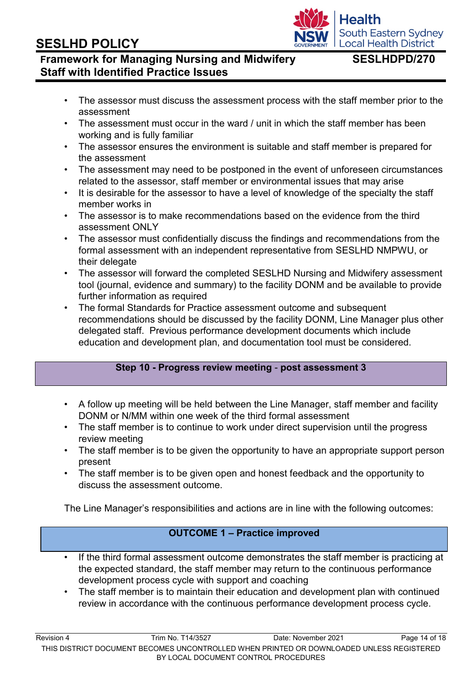# • The staff member is to maintain their education and development plan with continued review in accordance with the continuous performance development process cycle.

Revision 4 Trim No. T14/3527 Date: November 2021 Page 14 of 18 THIS DISTRICT DOCUMENT BECOMES UNCONTROLLED WHEN PRINTED OR DOWNLOADED UNLESS REGISTERED BY LOCAL DOCUMENT CONTROL PROCEDURES

# **SESLHD POLICY**

## **Framework for Managing Nursing and Midwifery SESLHDPD/270 Staff with Identified Practice Issues**

- The assessor must discuss the assessment process with the staff member prior to the assessment
- The assessment must occur in the ward / unit in which the staff member has been working and is fully familiar
- The assessor ensures the environment is suitable and staff member is prepared for the assessment
- The assessment may need to be postponed in the event of unforeseen circumstances related to the assessor, staff member or environmental issues that may arise
- It is desirable for the assessor to have a level of knowledge of the specialty the staff member works in
- The assessor is to make recommendations based on the evidence from the third assessment ONLY
- The assessor must confidentially discuss the findings and recommendations from the formal assessment with an independent representative from SESLHD NMPWU, or their delegate
- The assessor will forward the completed SESLHD Nursing and Midwifery assessment tool (journal, evidence and summary) to the facility DONM and be available to provide further information as required
- The formal Standards for Practice assessment outcome and subsequent recommendations should be discussed by the facility DONM, Line Manager plus other delegated staff. Previous performance development documents which include education and development plan, and documentation tool must be considered.

### **Step 10 - Progress review meeting** - **post assessment 3**

- A follow up meeting will be held between the Line Manager, staff member and facility DONM or N/MM within one week of the third formal assessment
- The staff member is to continue to work under direct supervision until the progress review meeting
- The staff member is to be given the opportunity to have an appropriate support person present
- The staff member is to be given open and honest feedback and the opportunity to discuss the assessment outcome.

The Line Manager's responsibilities and actions are in line with the following outcomes:

## **OUTCOME 1 – Practice improved**

If the third formal assessment outcome demonstrates the staff member is practicing at the expected standard, the staff member may return to the continuous performance development process cycle with support and coaching

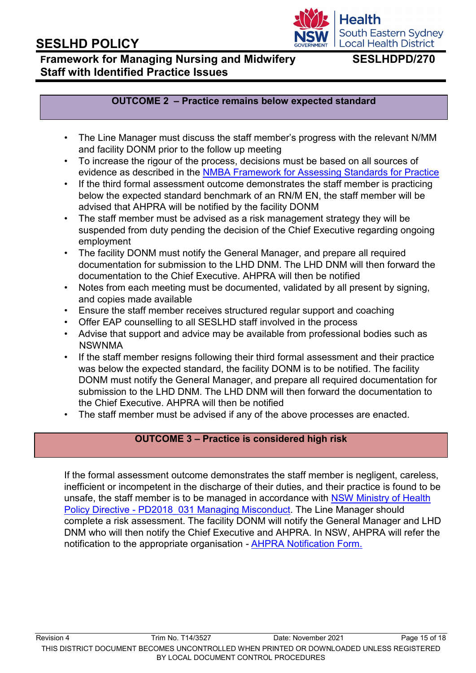# **Framework for Managing Nursing and Midwifery SESLHDPD/270 Staff with Identified Practice Issues**

**South Eastern Sydney Local Health District** 

**Health** 

### **OUTCOME 2 – Practice remains below expected standard**

- The Line Manager must discuss the staff member's progress with the relevant N/MM and facility DONM prior to the follow up meeting
- To increase the rigour of the process, decisions must be based on all sources of evidence as described in the [NMBA Framework for Assessing Standards for Practice](http://www.nursingmidwiferyboard.gov.au/Codes-Guidelines-Statements/Codes-Guidelines/Framework-for-assessing-national-competency-standards.aspx)
- If the third formal assessment outcome demonstrates the staff member is practicing below the expected standard benchmark of an RN/M EN, the staff member will be advised that AHPRA will be notified by the facility DONM
- The staff member must be advised as a risk management strategy they will be suspended from duty pending the decision of the Chief Executive regarding ongoing employment
- The facility DONM must notify the General Manager, and prepare all required documentation for submission to the LHD DNM. The LHD DNM will then forward the documentation to the Chief Executive. AHPRA will then be notified
- Notes from each meeting must be documented, validated by all present by signing, and copies made available
- Ensure the staff member receives structured regular support and coaching
- Offer EAP counselling to all SESLHD staff involved in the process
- Advise that support and advice may be available from professional bodies such as NSWNMA
- If the staff member resigns following their third formal assessment and their practice was below the expected standard, the facility DONM is to be notified. The facility DONM must notify the General Manager, and prepare all required documentation for submission to the LHD DNM. The LHD DNM will then forward the documentation to the Chief Executive. AHPRA will then be notified
- The staff member must be advised if any of the above processes are enacted.

### **OUTCOME 3 – Practice is considered high risk**

If the formal assessment outcome demonstrates the staff member is negligent, careless, inefficient or incompetent in the discharge of their duties, and their practice is found to be unsafe, the staff member is to be managed in accordance with [NSW Ministry of Health](https://www1.health.nsw.gov.au/pds/Pages/doc.aspx?dn=PD2018_031) Policy Directive - PD2018 031 Managing Misconduct. The Line Manager should complete a risk assessment. The facility DONM will notify the General Manager and LHD DNM who will then notify the Chief Executive and AHPRA. In NSW, AHPRA will refer the notification to the appropriate organisation *-* [AHPRA Notification Form.](https://www.ahpra.gov.au/Notifications/Make-a-Notification.aspx)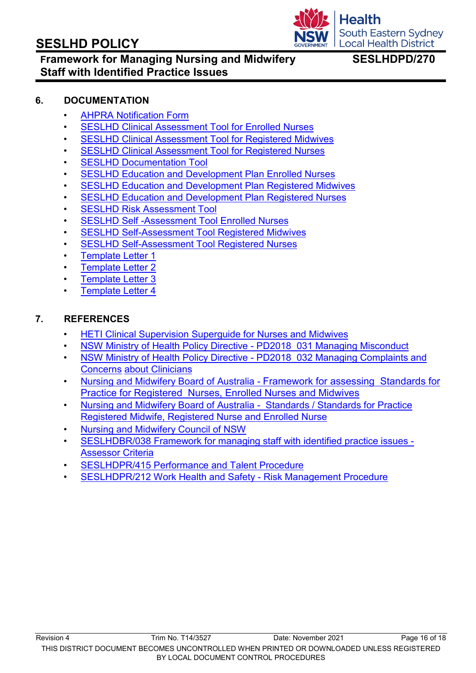

## **Framework for Managing Nursing and Midwifery SESLHDPD/270 Staff with Identified Practice Issues**

### **6. DOCUMENTATION**

- [AHPRA Notification Form](https://www.ahpra.gov.au/Notifications/Make-a-Notification.aspx)
- **[SESLHD Clinical Assessment Tool for Enrolled Nurses](http://seslhnweb/Forms_and_Templates/Forms/default.asp#Nursing_and_Midwifery)**
- [SESLHD Clinical Assessment Tool for Registered Midwives](http://seslhnweb/Forms_and_Templates/Forms/default.asp#Nursing_and_Midwifery)
- [SESLHD Clinical Assessment Tool for Registered Nurses](http://seslhnweb/Forms_and_Templates/Forms/default.asp#Nursing_and_Midwifery)
- **[SESLHD Documentation Tool](http://seslhnweb/Forms_and_Templates/Forms/default.asp#Nursing_and_Midwifery)**
- [SESLHD Education and Development Plan Enrolled Nurses](http://seslhnweb/Forms_and_Templates/Forms/default.asp#Nursing_and_Midwifery)
- [SESLHD Education and Development Plan Registered Midwives](http://seslhdweb.seslhd.health.nsw.gov.au/Forms_and_Templates/Forms/default.asp#Nursing_and_Midwifery)
- **[SESLHD Education and Development Plan Registered Nurses](http://seslhdweb.seslhd.health.nsw.gov.au/Forms_and_Templates/Forms/default.asp#Nursing_and_Midwifery)**
- **[SESLHD Risk Assessment Tool](http://seslhnweb/Forms_and_Templates/Forms/default.asp#Nursing_and_Midwifery)**
- [SESLHD Self -Assessment Tool Enrolled Nurses](http://seslhdweb.seslhd.health.nsw.gov.au/Forms_and_Templates/Forms/default.asp#Nursing_and_Midwifery)
- [SESLHD Self-Assessment Tool Registered Midwives](http://seslhdweb.seslhd.health.nsw.gov.au/Forms_and_Templates/Forms/default.asp#Nursing_and_Midwifery)
- [SESLHD Self-Assessment Tool Registered Nurses](http://seslhdweb.seslhd.health.nsw.gov.au/Forms_and_Templates/Forms/default.asp#Nursing_and_Midwifery)
- **[Template Letter 1](http://seslhnweb/Forms_and_Templates/Templates/NM.asp)**
- [Template Letter 2](http://seslhnweb/Forms_and_Templates/Templates/NM.asp)
- [Template Letter 3](http://seslhnweb/Forms_and_Templates/Templates/NM.asp)
- **[Template Letter 4](http://seslhnweb/Forms_and_Templates/Templates/NM.asp)**

### **7. REFERENCES**

- [HETI Clinical Supervision Superguide](https://www.heti.nsw.gov.au/education-and-training/our-focus-areas/nursing-and-midwifery/nursing-and-midwifery-superguide) for Nurses and Midwive[s](https://www.heti.nsw.gov.au/education-and-training/our-focus-areas/nursing-and-midwifery/nursing-and-midwifery-superguide)
- [NSW Ministry of Health Policy Directive -](https://www1.health.nsw.gov.au/pds/Pages/doc.aspx?dn=PD2018_031) PD2018\_031 Managing Misconduc[t](https://www1.health.nsw.gov.au/pds/Pages/doc.aspx?dn=PD2018_031)
- [NSW Ministry of Health Policy Directive -](https://www1.health.nsw.gov.au/pds/Pages/doc.aspx?dn=PD2018_032) PD2018 032 Managing Complaints and [Concerns](https://www1.health.nsw.gov.au/pds/Pages/doc.aspx?dn=PD2018_032) [about Clinicians](https://www1.health.nsw.gov.au/pds/Pages/doc.aspx?dn=PD2018_032)
- Nursing and [Midwifery Board of Australia -](http://www.nursingmidwiferyboard.gov.au/Codes-Guidelines-Statements/Codes-Guidelines/Framework-for-assessing-national-competency-standards.aspx) [Framework for assessing Standards for](http://www.nursingmidwiferyboard.gov.au/Codes-Guidelines-Statements/Codes-Guidelines/Framework-for-assessing-national-competency-standards.aspx) [Practice for Registered Nurses, Enrolled Nurses and Midwives](http://www.nursingmidwiferyboard.gov.au/Codes-Guidelines-Statements/Codes-Guidelines/Framework-for-assessing-national-competency-standards.aspx)
- [Nursing and Midwifery Board of Australia Standards / Standards for Practice](http://www.nursingmidwiferyboard.gov.au/Codes-Guidelines-Statements/Professional-standards.aspx) [Registered Midwife, Registered Nurse and Enrolled Nurse](http://www.nursingmidwiferyboard.gov.au/Codes-Guidelines-Statements/Professional-standards.aspx)
- [Nursing and Midwifery Council of NSW](http://www.hpca.nsw.gov.au/Nursing-and-Midwifery-Council/About-Us/Committees--Panels-and-Tribunals/Statutory-Adjudication-Bodies/Impaired-Registrants-Panels/default.aspx)
- [SESLHDBR/038 Framework for managing staff with identified practice issues -](https://www.seslhd.health.nsw.gov.au/policies-and-publications/functional-group/90) [Assessor Criteria](https://www.seslhd.health.nsw.gov.au/policies-and-publications/functional-group/90)
- [SESLHDPR/415 Performance and Talent Procedure](https://www.seslhd.health.nsw.gov.au/policies-and-publications/functional-group/100)
- [SESLHDPR/212 Work Health and Safety -](https://www.seslhd.health.nsw.gov.au/policies-and-publications/functional-group/104) Risk Management Procedur[e](https://www.seslhd.health.nsw.gov.au/policies-and-publications/functional-group/104)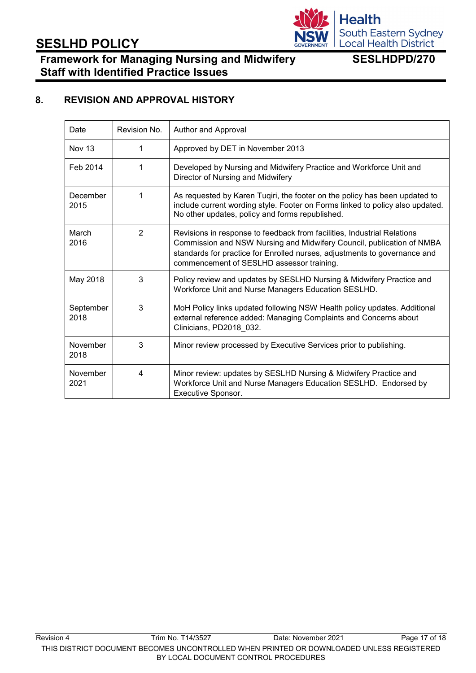# **Health** South Eastern Sydney<br>Local Health District

# **SESLHD POLICY**

# **Framework for Managing Nursing and Midwifery SESLHDPD/270 Staff with Identified Practice Issues**

## **8. REVISION AND APPROVAL HISTORY**

<span id="page-17-0"></span>

| Date              | Revision No.   | Author and Approval                                                                                                                                                                                                                                                        |
|-------------------|----------------|----------------------------------------------------------------------------------------------------------------------------------------------------------------------------------------------------------------------------------------------------------------------------|
| <b>Nov 13</b>     |                | Approved by DET in November 2013                                                                                                                                                                                                                                           |
| Feb 2014          | 1              | Developed by Nursing and Midwifery Practice and Workforce Unit and<br>Director of Nursing and Midwifery                                                                                                                                                                    |
| December<br>2015  | 1              | As requested by Karen Tuqiri, the footer on the policy has been updated to<br>include current wording style. Footer on Forms linked to policy also updated.<br>No other updates, policy and forms republished.                                                             |
| March<br>2016     | $\overline{2}$ | Revisions in response to feedback from facilities, Industrial Relations<br>Commission and NSW Nursing and Midwifery Council, publication of NMBA<br>standards for practice for Enrolled nurses, adjustments to governance and<br>commencement of SESLHD assessor training. |
| May 2018          | 3              | Policy review and updates by SESLHD Nursing & Midwifery Practice and<br>Workforce Unit and Nurse Managers Education SESLHD.                                                                                                                                                |
| September<br>2018 | 3              | MoH Policy links updated following NSW Health policy updates. Additional<br>external reference added: Managing Complaints and Concerns about<br>Clinicians, PD2018_032.                                                                                                    |
| November<br>2018  | 3              | Minor review processed by Executive Services prior to publishing.                                                                                                                                                                                                          |
| November<br>2021  | 4              | Minor review: updates by SESLHD Nursing & Midwifery Practice and<br>Workforce Unit and Nurse Managers Education SESLHD. Endorsed by<br>Executive Sponsor.                                                                                                                  |